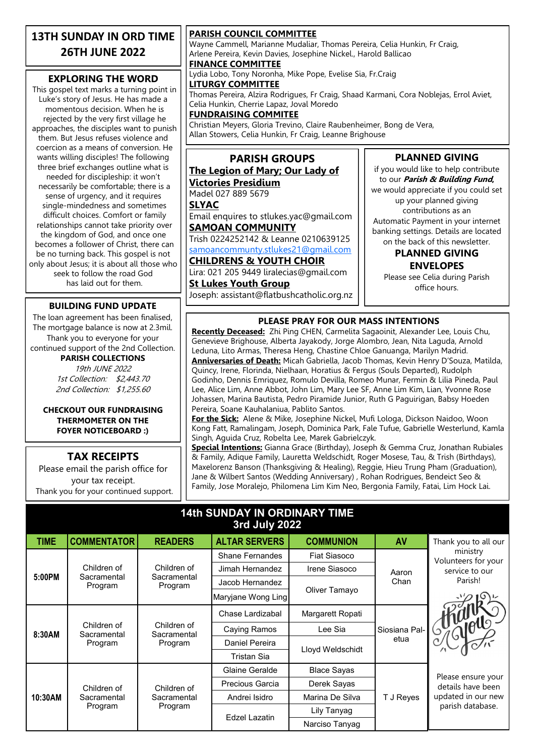### **13TH SUNDAY IN ORD TIME 26TH JUNE 2022**

#### **EXPLORING THE WORD**

This gospel text marks a turning point in Luke's story of Jesus. He has made a momentous decision. When he is rejected by the very first village he approaches, the disciples want to punish them. But Jesus refuses violence and coercion as a means of conversion. He wants willing disciples! The following three brief exchanges outline what is needed for discipleship: it won't necessarily be comfortable; there is a sense of urgency, and it requires single-mindedness and sometimes difficult choices. Comfort or family relationships cannot take priority over the kingdom of God, and once one becomes a follower of Christ, there can be no turning back. This gospel is not only about Jesus; it is about all those who seek to follow the road God has laid out for them.

#### **BUILDING FUND UPDATE**

The loan agreement has been finalised, The mortgage balance is now at 2.3mil. Thank you to everyone for your continued support of the 2nd Collection. **PARISH COLLECTIONS**

19th JUNE 2022 1st Collection: \$2,443.70 2nd Collection: \$1,255.60

#### **CHECKOUT OUR FUNDRAISING THERMOMETER ON THE FOYER NOTICEBOARD :)**

#### **TAX RECEIPTS**

Please email the parish office for your tax receipt. Thank you for your continued support.

#### **PARISH COUNCIL COMMITTEE**

Wayne Cammell, Marianne Mudaliar, Thomas Pereira, Celia Hunkin, Fr Craig, Arlene Pereira, Kevin Davies, Josephine Nickel., Harold Ballicao

#### **FINANCE COMMITTEE**

Lydia Lobo, Tony Noronha, Mike Pope, Evelise Sia, Fr.Craig **LITURGY COMMITTEE**

Thomas Pereira, Alzira Rodrigues, Fr Craig, Shaad Karmani, Cora Noblejas, Errol Aviet, Celia Hunkin, Cherrie Lapaz, Joval Moredo

**FUNDRAISING COMMITEE**

Christian Meyers, Gloria Trevino, Claire Raubenheimer, Bong de Vera, Allan Stowers, Celia Hunkin, Fr Craig, Leanne Brighouse

# **PARISH GROUPS**

#### **The Legion of Mary; Our Lady of Victories Presidium**

Madel 027 889 5679 **SLYAC**

Email enquires to stlukes.yac@gmail.com **SAMOAN COMMUNITY**

Trish 0224252142 & Leanne 0210639125 [samoancommunty.stlukes21@gmail.com](mailto:samoancommunity.stlukes21@gmail.com)

#### **CHILDRENS & YOUTH CHOIR**

Lira: 021 205 9449 liralecias@gmail.com **St Lukes Youth Group**

Joseph: assistant@flatbushcatholic.org.nz

if you would like to help contribute to our **Parish & Building Fund,**  we would appreciate if you could set up your planned giving contributions as an Automatic Payment in your internet banking settings. Details are located on the back of this newsletter.

**PLANNED GIVING**

#### **PLANNED GIVING ENVELOPES**

Please see Celia during Parish office hours.

#### **PLEASE PRAY FOR OUR MASS INTENTIONS**

**Recently Deceased:** Zhi Ping CHEN, Carmelita Sagaoinit, Alexander Lee, Louis Chu, Genevieve Brighouse, Alberta Jayakody, Jorge Alombro, Jean, Nita Laguda, Arnold Leduna, Lito Armas, Theresa Heng, Chastine Chloe Ganuanga, Marilyn Madrid. **Anniversaries of Death:** Micah Gabriella, Jacob Thomas, Kevin Henry D'Souza, Matilda, Quincy, Irene, Florinda, Nielhaan, Horatius & Fergus (Souls Departed), Rudolph Godinho, Dennis Emriquez, Romulo Devilla, Romeo Munar, Fermin & Lilia Pineda, Paul Lee, Alice Lim, Anne Abbot, John Lim, Mary Lee SF, Anne Lim Kim, Lian, Yvonne Rose Johassen, Marina Bautista, Pedro Piramide Junior, Ruth G Paguirigan, Babsy Hoeden Pereira, Soane Kauhalaniua, Pablito Santos.

**For the Sick:** Alene & Mike, Josephine Nickel, Mufi Lologa, Dickson Naidoo, Woon Kong Fatt, Ramalingam, Joseph, Dominica Park, Fale Tufue, Gabrielle Westerlund, Kamla Singh, Aguida Cruz, Robelta Lee, Marek Gabrielczyk.

**Special Intentions:** Gianna Grace (Birthday), Joseph & Gemma Cruz, Jonathan Rubiales & Family, Adique Family, Lauretta Weldschidt, Roger Mosese, Tau, & Trish (Birthdays), Maxelorenz Banson (Thanksgiving & Healing), Reggie, Hieu Trung Pham (Graduation), Jane & Wilbert Santos (Wedding Anniversary) , Rohan Rodrigues, Bendeict Seo & Family, Jose Moralejo, Philomena Lim Kim Neo, Bergonia Family, Fatai, Lim Hock Lai.

#### **14th SUNDAY IN ORDINARY TIME 3rd July 2022**

| <b>TIME</b> | <b>COMMENTATOR</b>                    | <b>READERS</b>                        | <b>ALTAR SERVERS</b>   | <b>COMMUNION</b>    | AV                    | Thank you to all our                                                              |
|-------------|---------------------------------------|---------------------------------------|------------------------|---------------------|-----------------------|-----------------------------------------------------------------------------------|
| 5:00PM      | Children of<br>Sacramental<br>Program | Children of<br>Sacramental<br>Program | <b>Shane Fernandes</b> | <b>Fiat Siasoco</b> | Aaron<br>Chan         | ministry<br>Volunteers for your<br>service to our<br>Parish!                      |
|             |                                       |                                       | Jimah Hernandez        | Irene Siasoco       |                       |                                                                                   |
|             |                                       |                                       | Jacob Hernandez        | Oliver Tamayo       |                       |                                                                                   |
|             |                                       |                                       | Maryjane Wong Ling     |                     |                       |                                                                                   |
| 8:30AM      | Children of<br>Sacramental<br>Program | Children of<br>Sacramental<br>Program | Chase Lardizabal       | Margarett Ropati    | Siosiana Pal-<br>etua | Sy would                                                                          |
|             |                                       |                                       | Caying Ramos           | Lee Sia             |                       |                                                                                   |
|             |                                       |                                       | Daniel Pereira         | Lloyd Weldschidt    |                       |                                                                                   |
|             |                                       |                                       | Tristan Sia            |                     |                       |                                                                                   |
| 10:30AM     | Children of<br>Sacramental<br>Program | Children of<br>Sacramental<br>Program | Glaine Geralde         | <b>Blace Sayas</b>  | T J Reyes             | Please ensure your<br>details have been<br>updated in our new<br>parish database. |
|             |                                       |                                       | Precious Garcia        | Derek Sayas         |                       |                                                                                   |
|             |                                       |                                       | Andrei Isidro          | Marina De Silva     |                       |                                                                                   |
|             |                                       |                                       | Edzel Lazatin          | Lily Tanyag         |                       |                                                                                   |
|             |                                       |                                       |                        | Narciso Tanyag      |                       |                                                                                   |